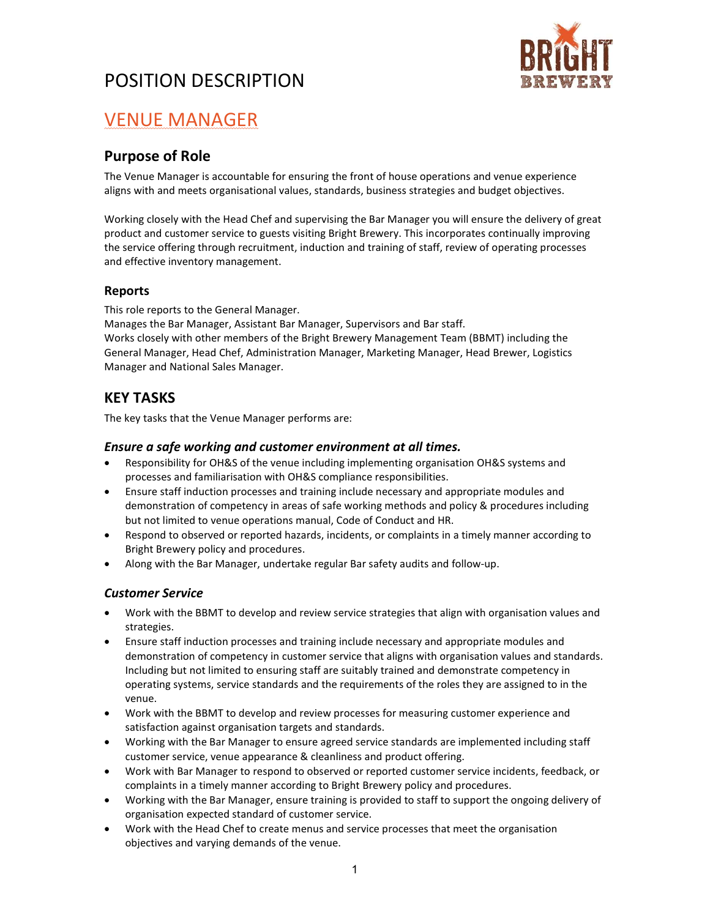

## VENUE MANAGER

## Purpose of Role

The Venue Manager is accountable for ensuring the front of house operations and venue experience aligns with and meets organisational values, standards, business strategies and budget objectives.

Working closely with the Head Chef and supervising the Bar Manager you will ensure the delivery of great product and customer service to guests visiting Bright Brewery. This incorporates continually improving the service offering through recruitment, induction and training of staff, review of operating processes and effective inventory management.

### Reports

This role reports to the General Manager. Manages the Bar Manager, Assistant Bar Manager, Supervisors and Bar staff. Works closely with other members of the Bright Brewery Management Team (BBMT) including the General Manager, Head Chef, Administration Manager, Marketing Manager, Head Brewer, Logistics Manager and National Sales Manager.

## KEY TASKS

The key tasks that the Venue Manager performs are:

### Ensure a safe working and customer environment at all times.

- Responsibility for OH&S of the venue including implementing organisation OH&S systems and processes and familiarisation with OH&S compliance responsibilities.
- Ensure staff induction processes and training include necessary and appropriate modules and demonstration of competency in areas of safe working methods and policy & procedures including but not limited to venue operations manual, Code of Conduct and HR.
- Respond to observed or reported hazards, incidents, or complaints in a timely manner according to Bright Brewery policy and procedures.
- Along with the Bar Manager, undertake regular Bar safety audits and follow-up.

### Customer Service

- Work with the BBMT to develop and review service strategies that align with organisation values and strategies.
- Ensure staff induction processes and training include necessary and appropriate modules and demonstration of competency in customer service that aligns with organisation values and standards. Including but not limited to ensuring staff are suitably trained and demonstrate competency in operating systems, service standards and the requirements of the roles they are assigned to in the venue.
- Work with the BBMT to develop and review processes for measuring customer experience and satisfaction against organisation targets and standards.
- Working with the Bar Manager to ensure agreed service standards are implemented including staff customer service, venue appearance & cleanliness and product offering.
- Work with Bar Manager to respond to observed or reported customer service incidents, feedback, or complaints in a timely manner according to Bright Brewery policy and procedures.
- Working with the Bar Manager, ensure training is provided to staff to support the ongoing delivery of organisation expected standard of customer service.
- Work with the Head Chef to create menus and service processes that meet the organisation objectives and varying demands of the venue.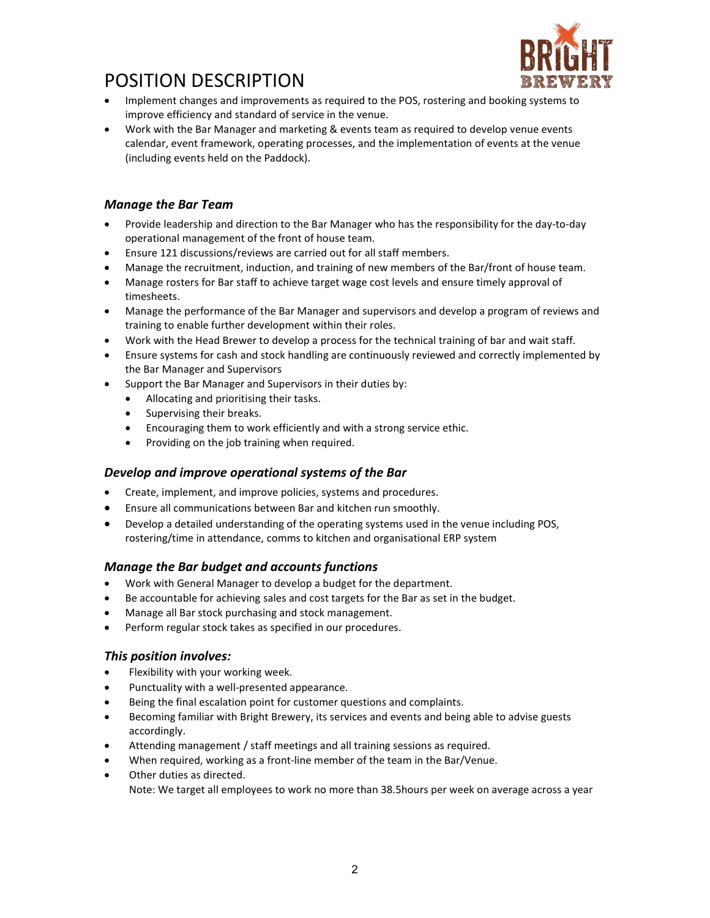

- Implement changes and improvements as required to the POS, rostering and booking systems to improve efficiency and standard of service in the venue.
- Work with the Bar Manager and marketing & events team as required to develop venue events calendar, event framework, operating processes, and the implementation of events at the venue (including events held on the Paddock).

### Manage the Bar Team

- Provide leadership and direction to the Bar Manager who has the responsibility for the day-to-day operational management of the front of house team.
- Ensure 121 discussions/reviews are carried out for all staff members.
- Manage the recruitment, induction, and training of new members of the Bar/front of house team.
- Manage rosters for Bar staff to achieve target wage cost levels and ensure timely approval of timesheets.
- Manage the performance of the Bar Manager and supervisors and develop a program of reviews and training to enable further development within their roles.
- Work with the Head Brewer to develop a process for the technical training of bar and wait staff.
- Ensure systems for cash and stock handling are continuously reviewed and correctly implemented by the Bar Manager and Supervisors
- Support the Bar Manager and Supervisors in their duties by:
	- Allocating and prioritising their tasks.
	- Supervising their breaks.
	- Encouraging them to work efficiently and with a strong service ethic.
	- Providing on the job training when required.

#### Develop and improve operational systems of the Bar

- Create, implement, and improve policies, systems and procedures.
- Ensure all communications between Bar and kitchen run smoothly.
- Develop a detailed understanding of the operating systems used in the venue including POS, rostering/time in attendance, comms to kitchen and organisational ERP system

### Manage the Bar budget and accounts functions

- Work with General Manager to develop a budget for the department.
- Be accountable for achieving sales and cost targets for the Bar as set in the budget.
- Manage all Bar stock purchasing and stock management.
- Perform regular stock takes as specified in our procedures.

#### This position involves:

- Flexibility with your working week.
- Punctuality with a well-presented appearance.
- Being the final escalation point for customer questions and complaints.
- Becoming familiar with Bright Brewery, its services and events and being able to advise guests accordingly.
- Attending management / staff meetings and all training sessions as required.
- When required, working as a front-line member of the team in the Bar/Venue.
- Other duties as directed. Note: We target all employees to work no more than 38.5hours per week on average across a year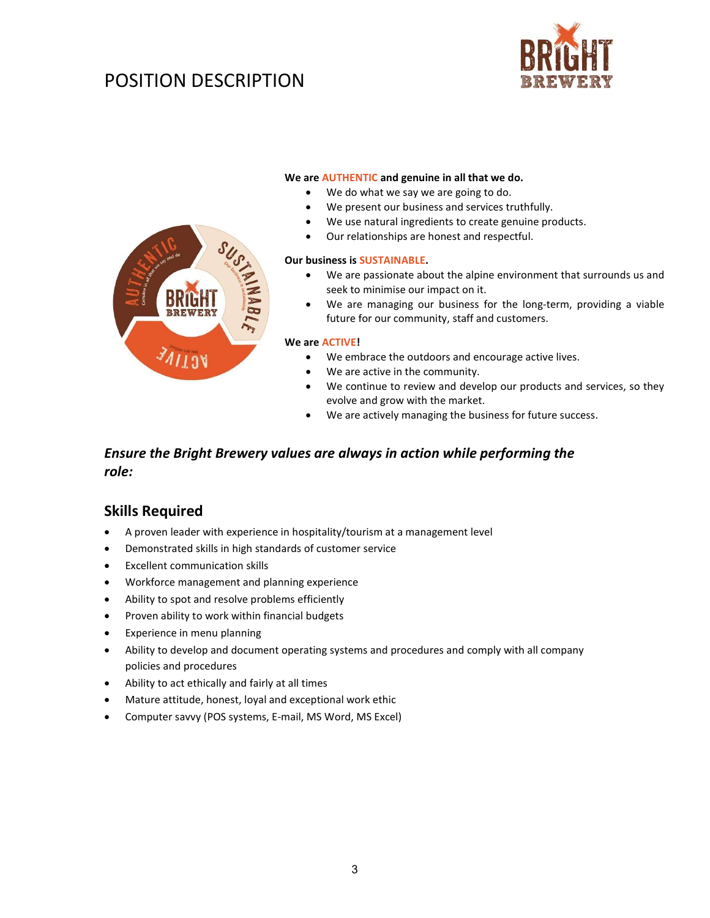



#### We are AUTHENTIC and genuine in all that we do.

- We do what we say we are going to do.
- We present our business and services truthfully.
- We use natural ingredients to create genuine products.
- Our relationships are honest and respectful.

#### Our business is SUSTAINABLE.

- We are passionate about the alpine environment that surrounds us and seek to minimise our impact on it.
- We are managing our business for the long-term, providing a viable future for our community, staff and customers.

#### We are ACTIVE!

- We embrace the outdoors and encourage active lives.
- We are active in the community.
- We continue to review and develop our products and services, so they evolve and grow with the market.
- We are actively managing the business for future success.

## Ensure the Bright Brewery values are always in action while performing the role:

## Skills Required

- A proven leader with experience in hospitality/tourism at a management level
- Demonstrated skills in high standards of customer service
- Excellent communication skills
- Workforce management and planning experience
- Ability to spot and resolve problems efficiently
- Proven ability to work within financial budgets
- Experience in menu planning
- Ability to develop and document operating systems and procedures and comply with all company policies and procedures
- Ability to act ethically and fairly at all times
- Mature attitude, honest, loyal and exceptional work ethic
- Computer savvy (POS systems, E-mail, MS Word, MS Excel)